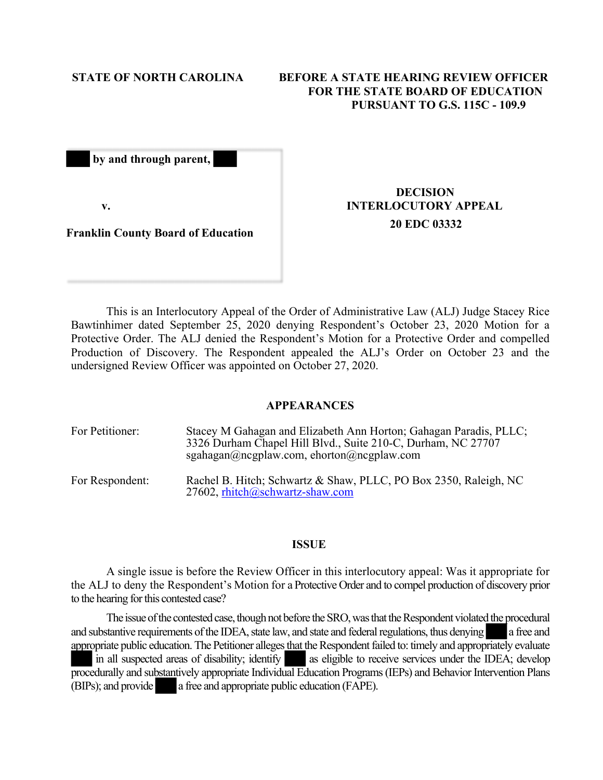# **STATE OF NORTH CAROLINA BEFORE A STATE HEARING REVIEW OFFICER FOR THE STATE BOARD OF EDUCATION PURSUANT TO G.S. 115C - 109.9**

 **by and through parent,** 

**v.**

### **Franklin County Board of Education**

# **DECISION INTERLOCUTORY APPEAL 20 EDC 03332**

This is an Interlocutory Appeal of the Order of Administrative Law (ALJ) Judge Stacey Rice Bawtinhimer dated September 25, 2020 denying Respondent's October 23, 2020 Motion for a Protective Order. The ALJ denied the Respondent's Motion for a Protective Order and compelled Production of Discovery. The Respondent appealed the ALJ's Order on October 23 and the undersigned Review Officer was appointed on October 27, 2020.

### **APPEARANCES**

| For Petitioner: | Stacey M Gahagan and Elizabeth Ann Horton; Gahagan Paradis, PLLC;<br>3326 Durham Chapel Hill Blvd., Suite 210-C, Durham, NC 27707<br>sgahagan@ncgplaw.com, ehorton@ncgplaw.com |
|-----------------|--------------------------------------------------------------------------------------------------------------------------------------------------------------------------------|
| For Respondent: | Rachel B. Hitch; Schwartz & Shaw, PLLC, PO Box 2350, Raleigh, NC<br>27602, rhitch@schwartz-shaw.com                                                                            |

#### **ISSUE**

A single issue is before the Review Officer in this interlocutory appeal: Was it appropriate for the ALJ to deny the Respondent's Motion for a Protective Order and to compel production of discovery prior to the hearing for this contested case?

The issue of the contested case, though not before the SRO, was that the Respondent violated the procedural and substantive requirements of the IDEA, state law, and state and federal regulations, thus denying a free and appropriate public education. The Petitioner alleges that the Respondent failed to: timely and appropriately evaluate in all suspected areas of disability; identify as eligible to receive services under the IDEA; develop procedurally and substantively appropriate Individual Education Programs (IEPs) and Behavior Intervention Plans (BIPs); and provide a free and appropriate public education (FAPE).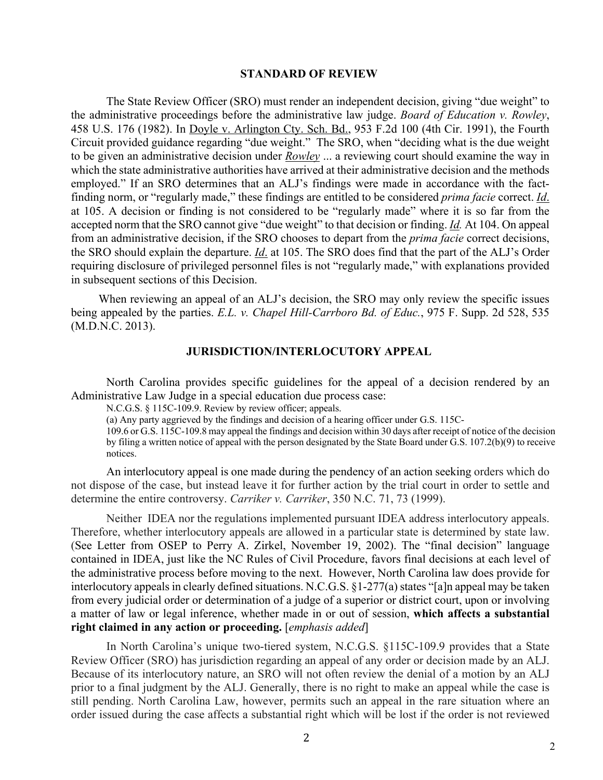#### **STANDARD OF REVIEW**

The State Review Officer (SRO) must render an independent decision, giving "due weight" to the administrative proceedings before the administrative law judge. *Board of Education v. Rowley*, 458 U.S. 176 (1982). In Doyle v. Arlington Cty. Sch. Bd., 953 F.2d 100 (4th Cir. 1991), the Fourth Circuit provided guidance regarding "due weight." The SRO, when "deciding what is the due weight to be given an administrative decision under *Rowley* ... a reviewing court should examine the way in which the state administrative authorities have arrived at their administrative decision and the methods employed." If an SRO determines that an ALJ's findings were made in accordance with the factfinding norm, or "regularly made," these findings are entitled to be considered *prima facie* correct. *Id*. at 105. A decision or finding is not considered to be "regularly made" where it is so far from the accepted norm that the SRO cannot give "due weight" to that decision or finding. *Id.* At 104. On appeal from an administrative decision, if the SRO chooses to depart from the *prima facie* correct decisions, the SRO should explain the departure. *Id*. at 105. The SRO does find that the part of the ALJ's Order requiring disclosure of privileged personnel files is not "regularly made," with explanations provided in subsequent sections of this Decision.

When reviewing an appeal of an ALJ's decision, the SRO may only review the specific issues being appealed by the parties. *E.L. v. Chapel Hill-Carrboro Bd. of Educ.*, 975 F. Supp. 2d 528, 535 (M.D.N.C. 2013).

# **JURISDICTION/INTERLOCUTORY APPEAL**

North Carolina provides specific guidelines for the appeal of a decision rendered by an Administrative Law Judge in a special education due process case:

N.C.G.S. § 115C-109.9. Review by review officer; appeals.

(a) Any party aggrieved by the findings and decision of a hearing officer under G.S. 115C-

109.6 or G.S. 115C-109.8 may appeal the findings and decision within 30 days after receipt of notice of the decision by filing a written notice of appeal with the person designated by the State Board under G.S. 107.2(b)(9) to receive notices.

An interlocutory appeal is one made during the pendency of an action seeking orders which do not dispose of the case, but instead leave it for further action by the trial court in order to settle and determine the entire controversy. *Carriker v. Carriker*, 350 N.C. 71, 73 (1999).

Neither IDEA nor the regulations implemented pursuant IDEA address interlocutory appeals. Therefore, whether interlocutory appeals are allowed in a particular state is determined by state law. (See Letter from OSEP to Perry A. Zirkel, November 19, 2002). The "final decision" language contained in IDEA, just like the NC Rules of Civil Procedure, favors final decisions at each level of the administrative process before moving to the next. However, North Carolina law does provide for interlocutory appeals in clearly defined situations. N.C.G.S. §1-277(a) states "[a]n appeal may be taken from every judicial order or determination of a judge of a superior or district court, upon or involving a matter of law or legal inference, whether made in or out of session, **which affects a substantial right claimed in any action or proceeding.** [*emphasis added*]

In North Carolina's unique two-tiered system, N.C.G.S. §115C-109.9 provides that a State Review Officer (SRO) has jurisdiction regarding an appeal of any order or decision made by an ALJ. Because of its interlocutory nature, an SRO will not often review the denial of a motion by an ALJ prior to a final judgment by the ALJ. Generally, there is no right to make an appeal while the case is still pending. North Carolina Law, however, permits such an appeal in the rare situation where an order issued during the case affects a substantial right which will be lost if the order is not reviewed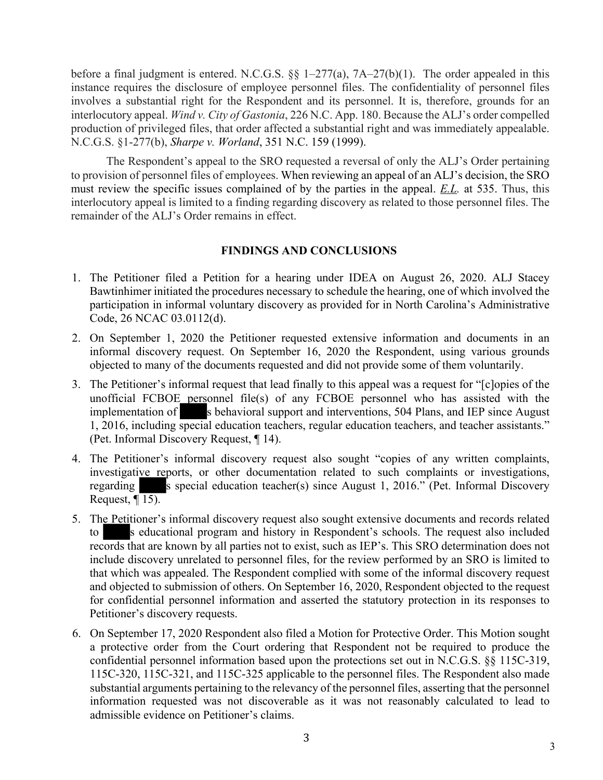before a final judgment is entered. N.C.G.S.  $\S$  1–277(a), 7A–27(b)(1). The order appealed in this instance requires the disclosure of employee personnel files. The confidentiality of personnel files involves a substantial right for the Respondent and its personnel. It is, therefore, grounds for an interlocutory appeal. *Wind v. City of Gastonia*, 226 N.C. App. 180. Because the ALJ's order compelled production of privileged files, that order affected a substantial right and was immediately appealable. N.C.G.S. §1-277(b), *Sharpe v. Worland*, 351 N.C. 159 (1999).

The Respondent's appeal to the SRO requested a reversal of only the ALJ's Order pertaining to provision of personnel files of employees. When reviewing an appeal of an ALJ's decision, the SRO must review the specific issues complained of by the parties in the appeal. *E.L.* at 535. Thus, this interlocutory appeal is limited to a finding regarding discovery as related to those personnel files. The remainder of the ALJ's Order remains in effect.

# **FINDINGS AND CONCLUSIONS**

- 1. The Petitioner filed a Petition for a hearing under IDEA on August 26, 2020. ALJ Stacey Bawtinhimer initiated the procedures necessary to schedule the hearing, one of which involved the participation in informal voluntary discovery as provided for in North Carolina's Administrative Code, 26 NCAC 03.0112(d).
- 2. On September 1, 2020 the Petitioner requested extensive information and documents in an informal discovery request. On September 16, 2020 the Respondent, using various grounds objected to many of the documents requested and did not provide some of them voluntarily.
- 3. The Petitioner's informal request that lead finally to this appeal was a request for "[c]opies of the unofficial FCBOE personnel file(s) of any FCBOE personnel who has assisted with the implementation of s behavioral support and interventions, 504 Plans, and IEP since August 1, 2016, including special education teachers, regular education teachers, and teacher assistants." (Pet. Informal Discovery Request, ¶ 14).
- 4. The Petitioner's informal discovery request also sought "copies of any written complaints, investigative reports, or other documentation related to such complaints or investigations, regarding s special education teacher(s) since August 1, 2016." (Pet. Informal Discovery Request,  $\sqrt{15}$ .
- 5. The Petitioner's informal discovery request also sought extensive documents and records related to s educational program and history in Respondent's schools. The request also included records that are known by all parties not to exist, such as IEP's. This SRO determination does not include discovery unrelated to personnel files, for the review performed by an SRO is limited to that which was appealed. The Respondent complied with some of the informal discovery request and objected to submission of others. On September 16, 2020, Respondent objected to the request for confidential personnel information and asserted the statutory protection in its responses to Petitioner's discovery requests.
- 6. On September 17, 2020 Respondent also filed a Motion for Protective Order. This Motion sought a protective order from the Court ordering that Respondent not be required to produce the confidential personnel information based upon the protections set out in N.C.G.S. §§ 115C-319, 115C-320, 115C-321, and 115C-325 applicable to the personnel files. The Respondent also made substantial arguments pertaining to the relevancy of the personnel files, asserting that the personnel information requested was not discoverable as it was not reasonably calculated to lead to admissible evidence on Petitioner's claims.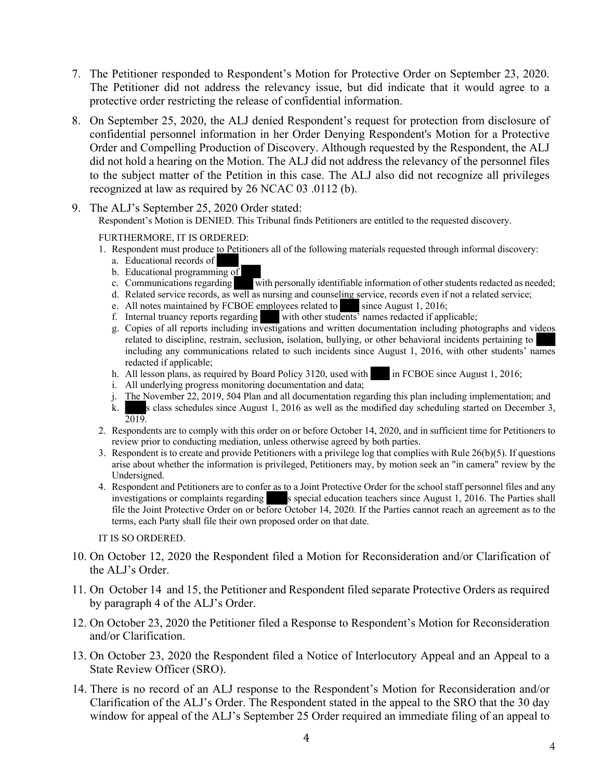- 7. The Petitioner responded to Respondent's Motion for Protective Order on September 23, 2020. The Petitioner did not address the relevancy issue, but did indicate that it would agree to a protective order restricting the release of confidential information.
- 8. On September 25, 2020, the ALJ denied Respondent's request for protection from disclosure of confidential personnel information in her Order Denying Respondent's Motion for a Protective Order and Compelling Production of Discovery. Although requested by the Respondent, the ALJ did not hold a hearing on the Motion. The ALJ did not address the relevancy of the personnel files to the subject matter of the Petition in this case. The ALJ also did not recognize all privileges recognized at law as required by 26 NCAC 03 .0112 (b).
- 9. The ALJ's September 25, 2020 Order stated:

Respondent's Motion is DENIED. This Tribunal finds Petitioners are entitled to the requested discovery.

FURTHERMORE, IT IS ORDERED:

- 1. Respondent must produce to Petitioners all of the following materials requested through informal discovery:
	- a. Educational records of
	- b. Educational programming of
	- c. Communications regarding with personally identifiable information of other students redacted as needed;
	- d. Related service records, as well as nursing and counseling service, records even if not a related service;
	- e. All notes maintained by FCBOE employees related to since August 1, 2016;<br>f. Internal truancy reports regarding with other students' names redacted if appl
	- with other students' names redacted if applicable;
	- g. Copies of all reports including investigations and written documentation including photographs and videos related to discipline, restrain, seclusion, isolation, bullying, or other behavioral incidents pertaining to including any communications related to such incidents since August 1, 2016, with other students' names redacted if applicable;
	- h. All lesson plans, as required by Board Policy 3120, used with in FCBOE since August 1, 2016;
	- i. All underlying progress monitoring documentation and data;
	- j. The November 22, 2019, 504 Plan and all documentation regarding this plan including implementation; and
	- k. s class schedules since August 1, 2016 as well as the modified day scheduling started on December 3, 2019.
- 2. Respondents are to comply with this order on or before October 14, 2020, and in sufficient time for Petitioners to review prior to conducting mediation, unless otherwise agreed by both parties.
- 3. Respondent is to create and provide Petitioners with a privilege log that complies with Rule 26(b)(5). If questions arise about whether the information is privileged, Petitioners may, by motion seek an "in camera" review by the Undersigned.
- 4. Respondent and Petitioners are to confer as to a Joint Protective Order for the school staff personnel files and any investigations or complaints regarding s special education teachers since August 1, 2016. The Parties shall file the Joint Protective Order on or before October 14, 2020. If the Parties cannot reach an agreement as to the terms, each Party shall file their own proposed order on that date.

IT IS SO ORDERED.

- 10. On October 12, 2020 the Respondent filed a Motion for Reconsideration and/or Clarification of the ALJ's Order.
- 11. On October 14 and 15, the Petitioner and Respondent filed separate Protective Orders as required by paragraph 4 of the ALJ's Order.
- 12. On October 23, 2020 the Petitioner filed a Response to Respondent's Motion for Reconsideration and/or Clarification.
- 13. On October 23, 2020 the Respondent filed a Notice of Interlocutory Appeal and an Appeal to a State Review Officer (SRO).
- 14. There is no record of an ALJ response to the Respondent's Motion for Reconsideration and/or Clarification of the ALJ's Order. The Respondent stated in the appeal to the SRO that the 30 day window for appeal of the ALJ's September 25 Order required an immediate filing of an appeal to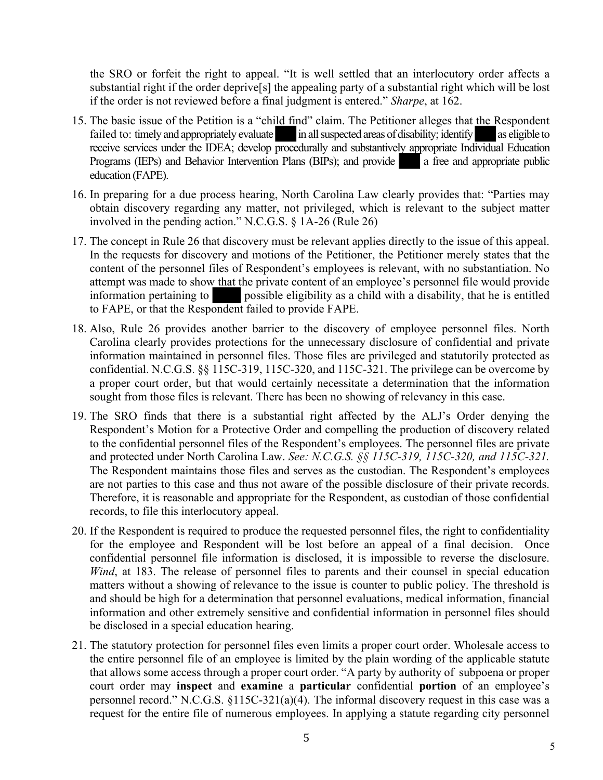the SRO or forfeit the right to appeal. "It is well settled that an interlocutory order affects a substantial right if the order deprive[s] the appealing party of a substantial right which will be lost if the order is not reviewed before a final judgment is entered." *Sharpe*, at 162.

- 15. The basic issue of the Petition is a "child find" claim. The Petitioner alleges that the Respondent failed to: timely and appropriately evaluate in all suspected areas of disability; identify as eligible to receive services under the IDEA; develop procedurally and substantively appropriate Individual Education Programs (IEPs) and Behavior Intervention Plans (BIPs); and provide a free and appropriate public education (FAPE).
- 16. In preparing for a due process hearing, North Carolina Law clearly provides that: "Parties may obtain discovery regarding any matter, not privileged, which is relevant to the subject matter involved in the pending action." N.C.G.S. § 1A-26 (Rule 26)
- 17. The concept in Rule 26 that discovery must be relevant applies directly to the issue of this appeal. In the requests for discovery and motions of the Petitioner, the Petitioner merely states that the content of the personnel files of Respondent's employees is relevant, with no substantiation. No attempt was made to show that the private content of an employee's personnel file would provide information pertaining to possible eligibility as a child with a disability, that he is entitled to FAPE, or that the Respondent failed to provide FAPE.
- 18. Also, Rule 26 provides another barrier to the discovery of employee personnel files. North Carolina clearly provides protections for the unnecessary disclosure of confidential and private information maintained in personnel files. Those files are privileged and statutorily protected as confidential. N.C.G.S. §§ 115C-319, 115C-320, and 115C-321. The privilege can be overcome by a proper court order, but that would certainly necessitate a determination that the information sought from those files is relevant. There has been no showing of relevancy in this case.
- 19. The SRO finds that there is a substantial right affected by the ALJ's Order denying the Respondent's Motion for a Protective Order and compelling the production of discovery related to the confidential personnel files of the Respondent's employees. The personnel files are private and protected under North Carolina Law. *See: N.C.G.S. §§ 115C-319, 115C-320, and 115C-321.*  The Respondent maintains those files and serves as the custodian. The Respondent's employees are not parties to this case and thus not aware of the possible disclosure of their private records. Therefore, it is reasonable and appropriate for the Respondent, as custodian of those confidential records, to file this interlocutory appeal.
- 20. If the Respondent is required to produce the requested personnel files, the right to confidentiality for the employee and Respondent will be lost before an appeal of a final decision. Once confidential personnel file information is disclosed, it is impossible to reverse the disclosure. *Wind*, at 183. The release of personnel files to parents and their counsel in special education matters without a showing of relevance to the issue is counter to public policy. The threshold is and should be high for a determination that personnel evaluations, medical information, financial information and other extremely sensitive and confidential information in personnel files should be disclosed in a special education hearing.
- 21. The statutory protection for personnel files even limits a proper court order. Wholesale access to the entire personnel file of an employee is limited by the plain wording of the applicable statute that allows some access through a proper court order. "A party by authority of subpoena or proper court order may **inspect** and **examine** a **particular** confidential **portion** of an employee's personnel record." N.C.G.S. §115C-321(a)(4). The informal discovery request in this case was a request for the entire file of numerous employees. In applying a statute regarding city personnel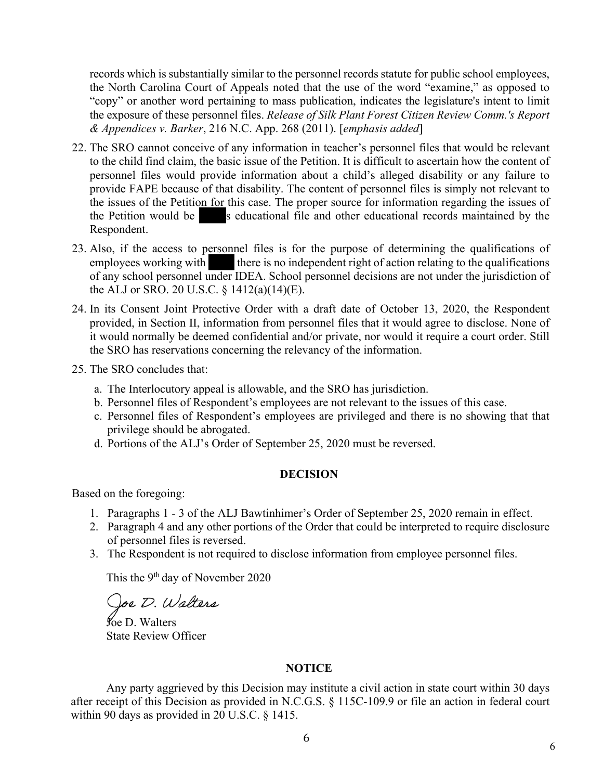records which is substantially similar to the personnel records statute for public school employees, the North Carolina Court of Appeals noted that the use of the word "examine," as opposed to "copy" or another word pertaining to mass publication, indicates the legislature's intent to limit the exposure of these personnel files. *Release of Silk Plant Forest Citizen Review Comm.'s Report & Appendices v. Barker*, 216 N.C. App. 268 (2011). [*emphasis added*]

- 22. The SRO cannot conceive of any information in teacher's personnel files that would be relevant to the child find claim, the basic issue of the Petition. It is difficult to ascertain how the content of personnel files would provide information about a child's alleged disability or any failure to provide FAPE because of that disability. The content of personnel files is simply not relevant to the issues of the Petition for this case. The proper source for information regarding the issues of the Petition would be sequeler s educational file and other educational records maintained by the Respondent.
- 23. Also, if the access to personnel files is for the purpose of determining the qualifications of employees working with there is no independent right of action relating to the qualifications of any school personnel under IDEA. School personnel decisions are not under the jurisdiction of the ALJ or SRO. 20 U.S.C. § 1412(a)(14)(E).
- 24. In its Consent Joint Protective Order with a draft date of October 13, 2020, the Respondent provided, in Section II, information from personnel files that it would agree to disclose. None of it would normally be deemed confidential and/or private, nor would it require a court order. Still the SRO has reservations concerning the relevancy of the information.
- 25. The SRO concludes that:
	- a. The Interlocutory appeal is allowable, and the SRO has jurisdiction.
	- b. Personnel files of Respondent's employees are not relevant to the issues of this case.
	- c. Personnel files of Respondent's employees are privileged and there is no showing that that privilege should be abrogated.
	- d. Portions of the ALJ's Order of September 25, 2020 must be reversed.

# **DECISION**

Based on the foregoing:

- 1. Paragraphs 1 3 of the ALJ Bawtinhimer's Order of September 25, 2020 remain in effect.
- 2. Paragraph 4 and any other portions of the Order that could be interpreted to require disclosure of personnel files is reversed.
- 3. The Respondent is not required to disclose information from employee personnel files.

This the 9<sup>th</sup> day of November 2020

Joe D. Walters

Joe D. Walters State Review Officer

# **NOTICE**

Any party aggrieved by this Decision may institute a civil action in state court within 30 days after receipt of this Decision as provided in N.C.G.S. § 115C-109.9 or file an action in federal court within 90 days as provided in 20 U.S.C. § 1415.